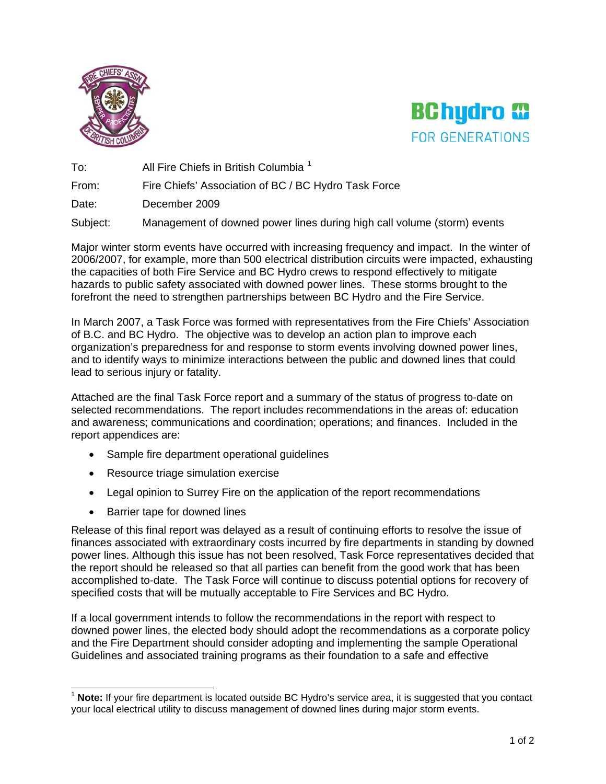



To: All Fire Chiefs in British Columbia<sup>[1](#page-0-0)</sup>

From: Fire Chiefs' Association of BC / BC Hydro Task Force

Date: December 2009

Subject: Management of downed power lines during high call volume (storm) events

Major winter storm events have occurred with increasing frequency and impact. In the winter of 2006/2007, for example, more than 500 electrical distribution circuits were impacted, exhausting the capacities of both Fire Service and BC Hydro crews to respond effectively to mitigate hazards to public safety associated with downed power lines. These storms brought to the forefront the need to strengthen partnerships between BC Hydro and the Fire Service.

In March 2007, a Task Force was formed with representatives from the Fire Chiefs' Association of B.C. and BC Hydro. The objective was to develop an action plan to improve each organization's preparedness for and response to storm events involving downed power lines, and to identify ways to minimize interactions between the public and downed lines that could lead to serious injury or fatality.

Attached are the final Task Force report and a summary of the status of progress to-date on selected recommendations. The report includes recommendations in the areas of: education and awareness; communications and coordination; operations; and finances. Included in the report appendices are:

- Sample fire department operational guidelines
- Resource triage simulation exercise
- Legal opinion to Surrey Fire on the application of the report recommendations
- Barrier tape for downed lines

Release of this final report was delayed as a result of continuing efforts to resolve the issue of finances associated with extraordinary costs incurred by fire departments in standing by downed power lines. Although this issue has not been resolved, Task Force representatives decided that the report should be released so that all parties can benefit from the good work that has been accomplished to-date. The Task Force will continue to discuss potential options for recovery of specified costs that will be mutually acceptable to Fire Services and BC Hydro.

If a local government intends to follow the recommendations in the report with respect to downed power lines, the elected body should adopt the recommendations as a corporate policy and the Fire Department should consider adopting and implementing the sample Operational Guidelines and associated training programs as their foundation to a safe and effective

<span id="page-0-0"></span>Note: If your fire department is located outside BC Hydro's service area, it is suggested that you contact your local electrical utility to discuss management of downed lines during major storm events.